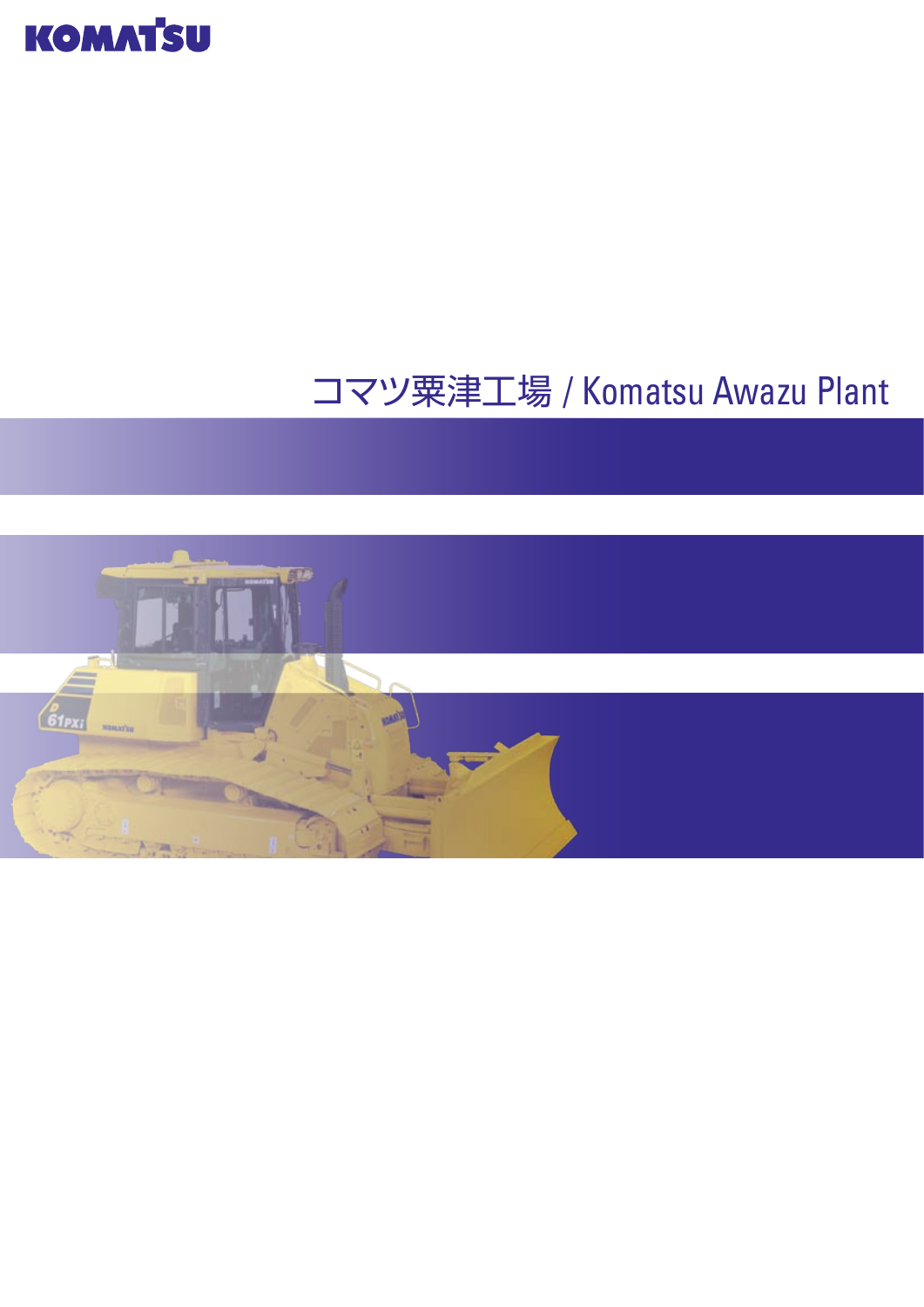

# コマツ粟津工場 / Komatsu Awazu Plant

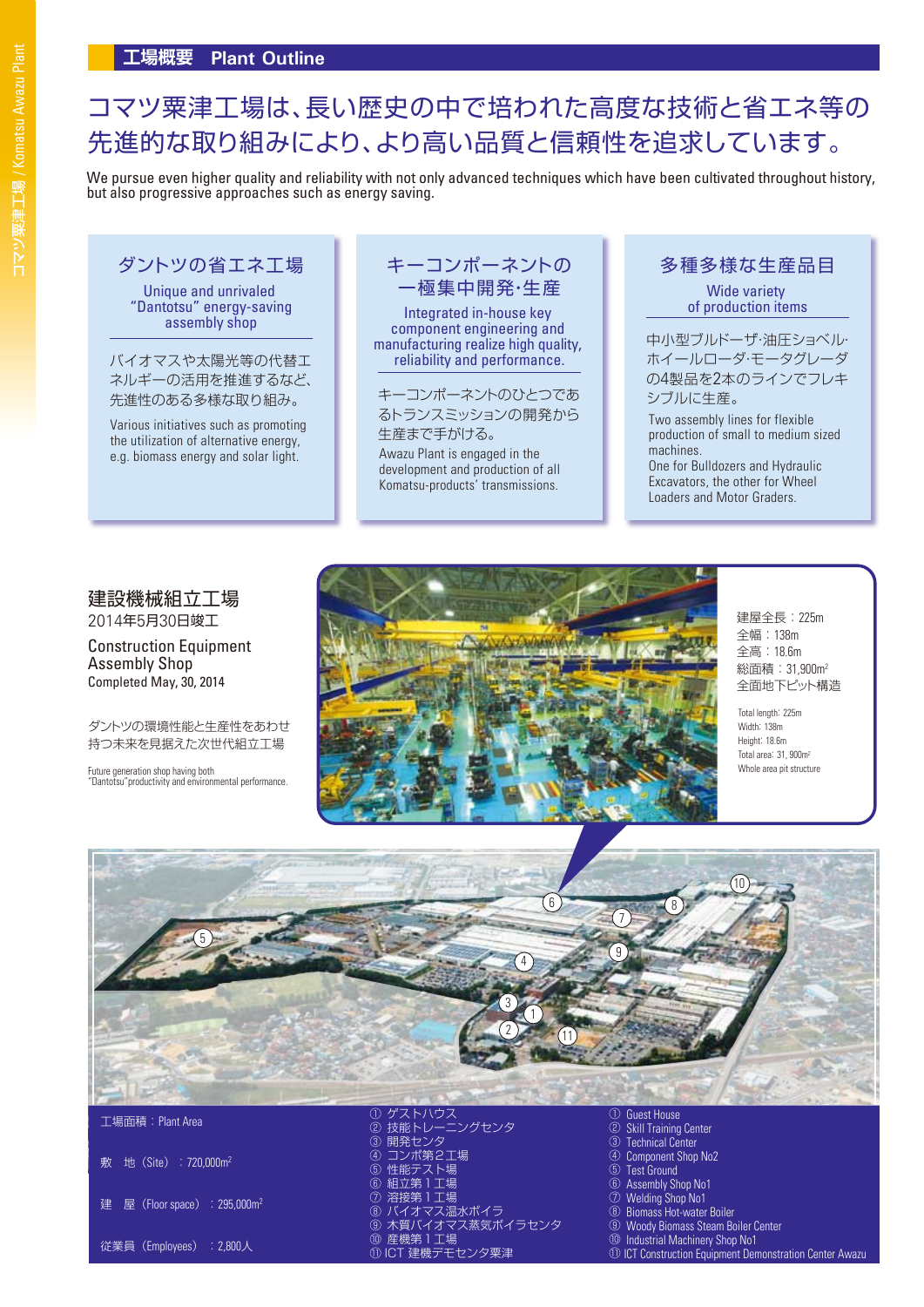We pursue even higher quality and reliability with not only advanced techniques which have been cultivated throughout history, but also progressive approaches such as energy saving.

Unique and unrivaled "Dantotsu" energy-saving assembly shop

バイオマスや太陽光等の代替エ ネルギーの活用を推進するなど、

Various initiatives such as promoting the utilization of alternative energy, e.g. biomass energy and solar light.

# ダントツの省エネ工場 ┃ キーコンポーネントの ┃ 多種多様な生産品目 一極集中開発・生産

Integrated in-house key component engineering and manufacturing realize high quality, reliability and performance.

先進性のある多様な取り組み。 キーコンポーネントのひとつであ るトランスミッションの開発から 生産まで手がける。

> Awazu Plant is engaged in the development and production of all Komatsu-products' transmissions.

Wide variety of production items

中小型ブルドーザ・油圧ショベル・ ホイールローダ・モータグレーダ の4製品を2本のラインでフレキ シブルに生産。

Two assembly lines for flexible production of small to medium sized machines. One for Bulldozers and Hydraulic Excavators, the other for Wheel Loaders and Motor Graders.

#### 建設機械組立工場 2014年5月30日竣工

Construction Equipment Assembly Shop Completed May, 30, 2014

ダントツの環境性能と生産性をあわせ 持つ未来を見据えた次世代組立工場

Future generation shop having both "Dantotsu"productivity and environmental performance.



建屋全長:225m 全幅:138m 全高:18.6m 総面積:31,900m2 全面地下ピット構造

Total length: 225m Width: 138m Height: 18.6m Total area: 31, 900m2 Whole area pit structure



敷 地 (Site): 720,000m<sup>2</sup>

建 屋 (Floor space) : 295,000m<sup>2</sup>

従業員(Employees) :2,800人

③ ④ ⑤ ⑥  $^\circledR$ ⑧ ⑨ 木質バイオマス蒸気ボイラセンタ ⑩ 産機第1工場 ⑪ ICT 建機デモセンタ粟津 開発センタ コンポ第2工場 性能テスト場 組立第1工場 溶接第1工場 バイオマス温水ボイラ

- $\bar{Q}$ Skill Training Center
- ③ Technical Center
- ④ Component Shop No2
- ⑤ Test Ground ⑥ Assembly Shop No1
- $\circledR$ Welding Shop No1
- $\overline{(\overline{8})}$ Biomass Hot-water Boiler
- ⑨ Woody Biomass Steam Boiler Center
- ⑩ **Industrial Machinery Shop No1**
- $(1)$ **ICT Construction Equipment Demonstration Center Awazu**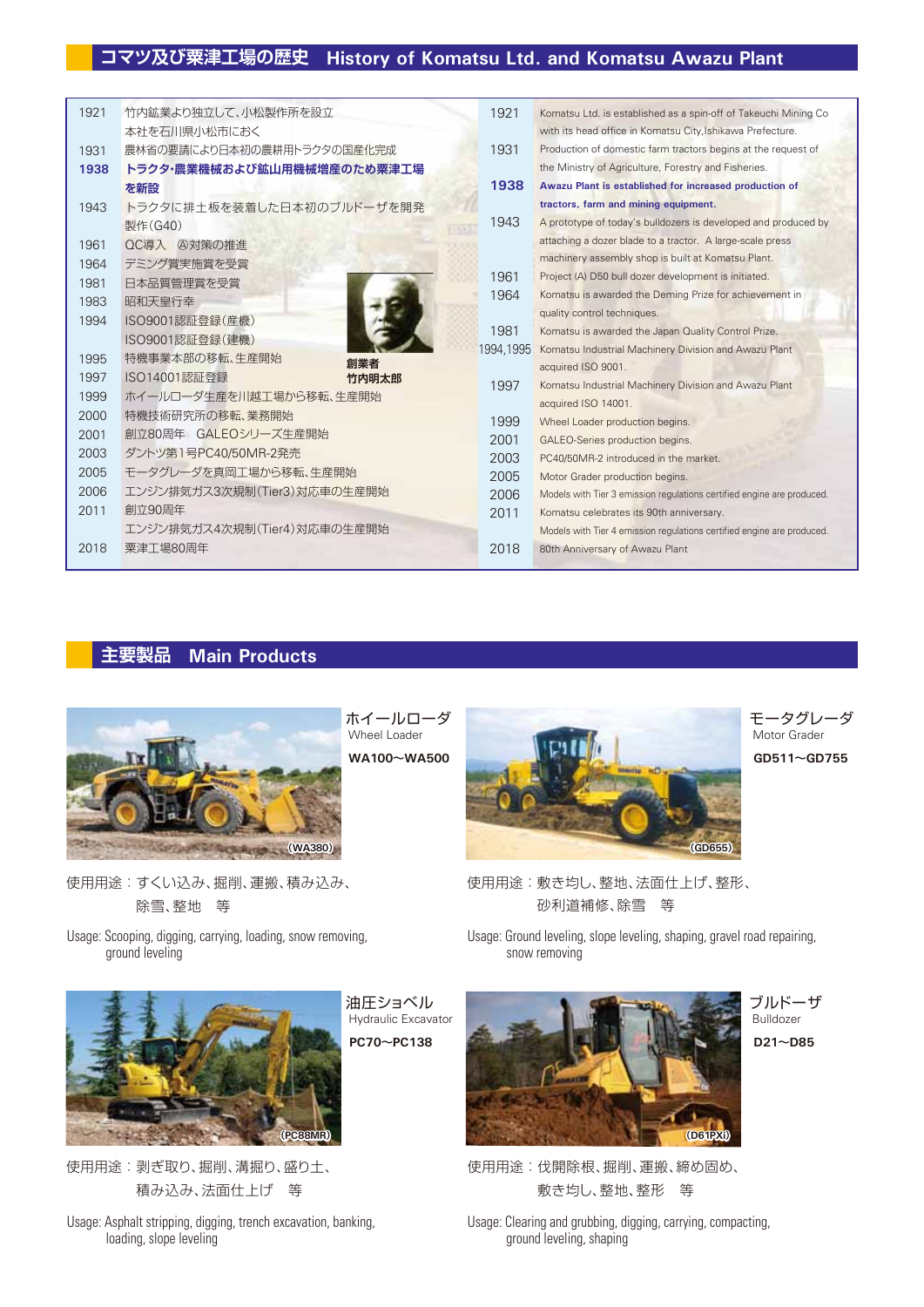| 1921 | 竹内鉱業より独立して、小松製作所を設立         | 1921      | Komatsu Ltd. is established as a spin-off of Takeuchi Mining Co        |
|------|-----------------------------|-----------|------------------------------------------------------------------------|
|      | 本社を石川県小松市におく                |           | with its head office in Komatsu City, Ishikawa Prefecture.             |
| 1931 | 農林省の要請により日本初の農耕用トラクタの国産化完成  | 1931      | Production of domestic farm tractors begins at the request of          |
| 1938 | トラクタ・農業機械および鉱山用機械増産のため粟津工場  |           | the Ministry of Agriculture, Forestry and Fisheries.                   |
|      | を新設                         | 1938      | Awazu Plant is established for increased production of                 |
| 1943 | トラクタに排土板を装着した日本初のブルドーザを開発   |           | tractors, farm and mining equipment.                                   |
|      | 製作(G40)                     | 1943      | A prototype of today's bulldozers is developed and produced by         |
| 1961 | QC導入 A対策の推進                 |           | attaching a dozer blade to a tractor. A large-scale press              |
| 1964 | デミング賞実施賞を受賞                 |           | machinery assembly shop is built at Komatsu Plant.                     |
| 1981 | 日本品質管理賞を受賞                  | 1961      | Project (A) D50 bull dozer development is initiated.                   |
| 1983 | 昭和天皇行幸                      | 1964      | Komatsu is awarded the Deming Prize for achievement in                 |
| 1994 | ISO9001認証登録(産機)             |           | quality control techniques.                                            |
|      | ISO9001認証登録(建機)             | 1981      | Komatsu is awarded the Japan Quality Control Prize.                    |
| 1995 | 特機事業本部の移転、生産開始<br>創業者       | 1994.1995 | Komatsu Industrial Machinery Division and Awazu Plant                  |
| 1997 | ISO14001認証登録<br>竹内明太郎       |           | acquired ISO 9001.                                                     |
| 1999 | ホイールローダ生産を川越工場から移転、生産開始     | 1997      | Komatsu Industrial Machinery Division and Awazu Plant                  |
| 2000 | 特機技術研究所の移転、業務開始             |           | acquired ISO 14001.                                                    |
| 2001 | 創立80周年 GALEOシリーズ生産開始        | 1999      | Wheel Loader production begins.                                        |
| 2003 | ダントツ第1号PC40/50MR-2発売        | 2001      | GALEO-Series production begins.                                        |
| 2005 | モータグレーダを真岡工場から移転、生産開始       | 2003      | PC40/50MR-2 introduced in the market.                                  |
| 2006 | エンジン排気ガス3次規制(Tier3)対応車の生産開始 | 2005      | Motor Grader production begins.                                        |
| 2011 | 創立90周年                      | 2006      | Models with Tier 3 emission regulations certified engine are produced. |
|      |                             | 2011      | Komatsu celebrates its 90th anniversary.                               |
|      | エンジン排気ガス4次規制(Tier4)対応車の生産開始 |           | Models with Tier 4 emission regulations certified engine are produced. |
| 2018 | 粟津工場80周年                    | 2018      | 80th Anniversary of Awazu Plant                                        |

# **主要製品 Main Products**



除雪、整地 等

Usage: Scooping, digging, carrying, loading, snow removing, ground leveling



使用用途:剥ぎ取り、掘削、溝掘り、盛り土、 積み込み、法面仕上げ 等

Usage: Asphalt stripping, digging, trench excavation, banking, loading, slope leveling

ホイールローダ Wheel Loader



モータグレーダ Motor Grader

使用用途:敷き均し、整地、法面仕上げ、整形、 砂利道補修、除雪 等

Usage: Ground leveling, slope leveling, shaping, gravel road repairing, snow removing



ブルドーザ Bulldozer



使用用途:伐開除根、掘削、運搬、締め固め、 敷き均し、整地、整形 等

Usage: Clearing and grubbing, digging, carrying, compacting, ground leveling, shaping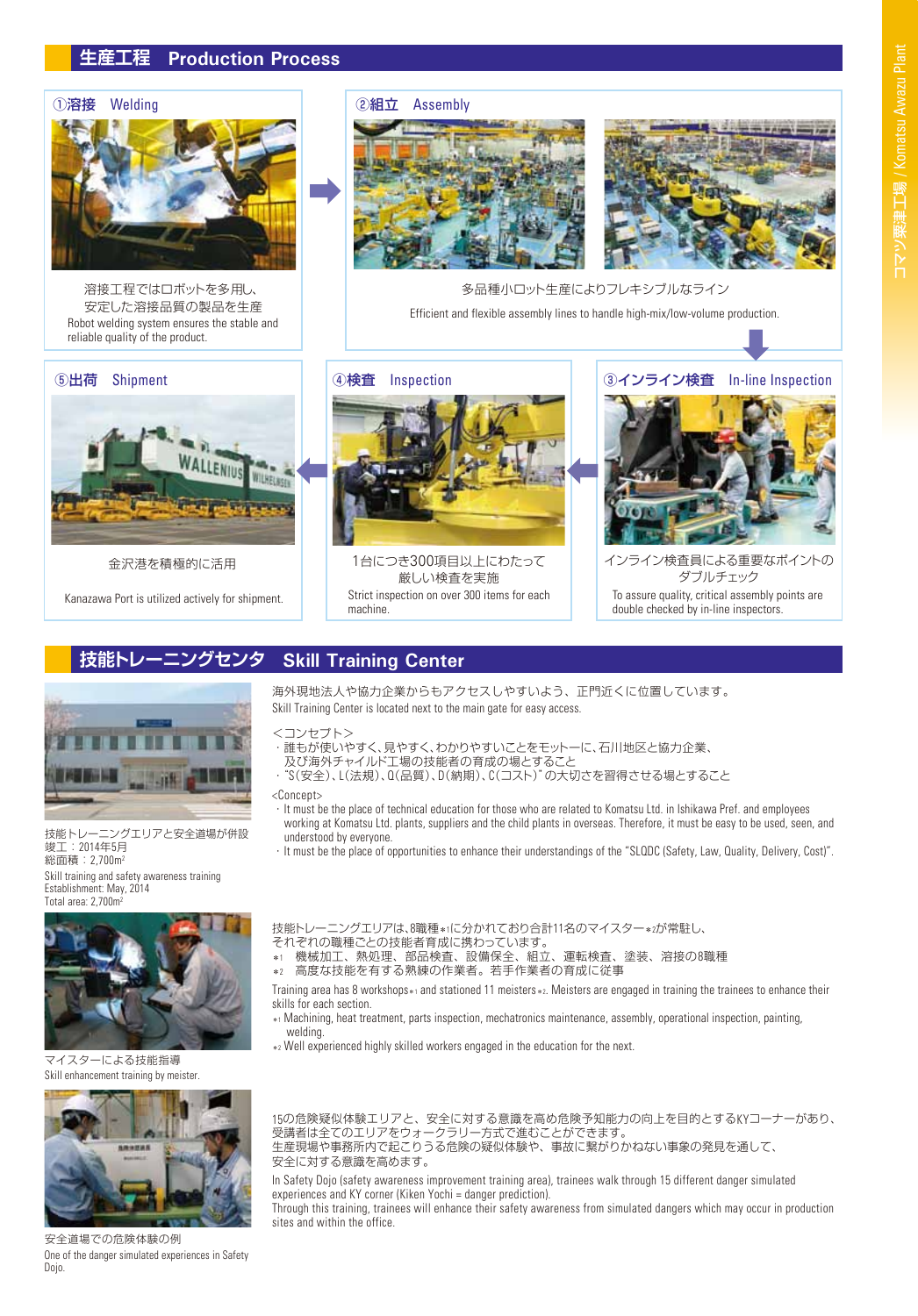### **生産工程 Production Process**



Robot welding system ensures the stable and reliable quality of the product. 溶接工程ではロボットを多用し、 安定した溶接品質の製品を生産

#### ⑤出荷 Shipment



金沢港を積極的に活用

Kanazawa Port is utilized actively for shipment.

#### ①溶接 Welding | |②組立 Assembly



多品種小ロット生産によりフレキシブルなライン Efficient and flexible assembly lines to handle high-mix/low-volume production.



Strict inspection on over 300 items for each machine. 厳しい検査を実施



インライン検査員による重要なポイントの ダブルチェック To assure quality, critical assembly points are double checked by in-line inspectors.

# **技能トレーニングセンタ Skill Training Center**

海外現地法人や協力企業からもアクセスしやすいよう、正門近くに位置しています。 Skill Training Center is located next to the main gate for easy access.

<コンセプト>

- ・誰もが使いやすく、見やすく、わかりやすいことをモットーに、石川地区と協力企業、
	- 及び海外チャイルド工場の技能者の育成の場とすること
- · "S(安全)、L(法規)、Q(品質)、D(納期)、C(コスト)"の大切さを習得させる場とすること

#### <Concept>

- ・It must be the place of technical education for those who are related to Komatsu Ltd. in Ishikawa Pref. and employees working at Komatsu Ltd. plants, suppliers and the child plants in overseas. Therefore, it must be easy to be used, seen, and understood by everyone.
- ・It must be the place of opportunities to enhance their understandings of the "SLQDC (Safety, Law, Quality, Delivery, Cost)".

Skill training and safety awareness training Establishment: May, 2014 Total area: 2,700m<sup>2</sup>

技能トレーニングエリアと安全道場が併設

。<br>竣工: 2014年5月 総面積:2,700m2



マイスターによる技能指導 Skill enhancement training by meister.



安全道場での危険体験の例 One of the danger simulated experiences in Safety Dojo.

技能トレーニングエリアは、8職種\*1に分かれており合計11名のマイスター\*2が常駐し、 それぞれの職種ごとの技能者育成に携わっています。

- \*1 機械加工、熱処理、部品検査、設備保全、組立、運転検査、塗装、溶接の8職種
- \*2 高度な技能を有する熟練の作業者。若手作業者の育成に従事

Training area has 8 workshops\*1 and stationed 11 meisters\*2. Meisters are engaged in training the trainees to enhance their skills for each section.

- \*1 Machining, heat treatment, parts inspection, mechatronics maintenance, assembly, operational inspection, painting, welding.
- \*2 Well experienced highly skilled workers engaged in the education for the next.

15の危険疑似体験エリアと、安全に対する意識を高め危険予知能力の向上を目的とするKYコーナーがあり、 受講者は全てのエリアをウォークラリー方式で進むことができます。 生産現場や事務所内で起こりうる危険の疑似体験や、事故に繋がりかねない事象の発見を通して、 安全に対する意識を高めます。

In Safety Dojo (safety awareness improvement training area), trainees walk through 15 different danger simulated experiences and KY corner (Kiken Yochi = danger prediction).

Through this training, trainees will enhance their safety awareness from simulated dangers which may occur in production sites and within the office.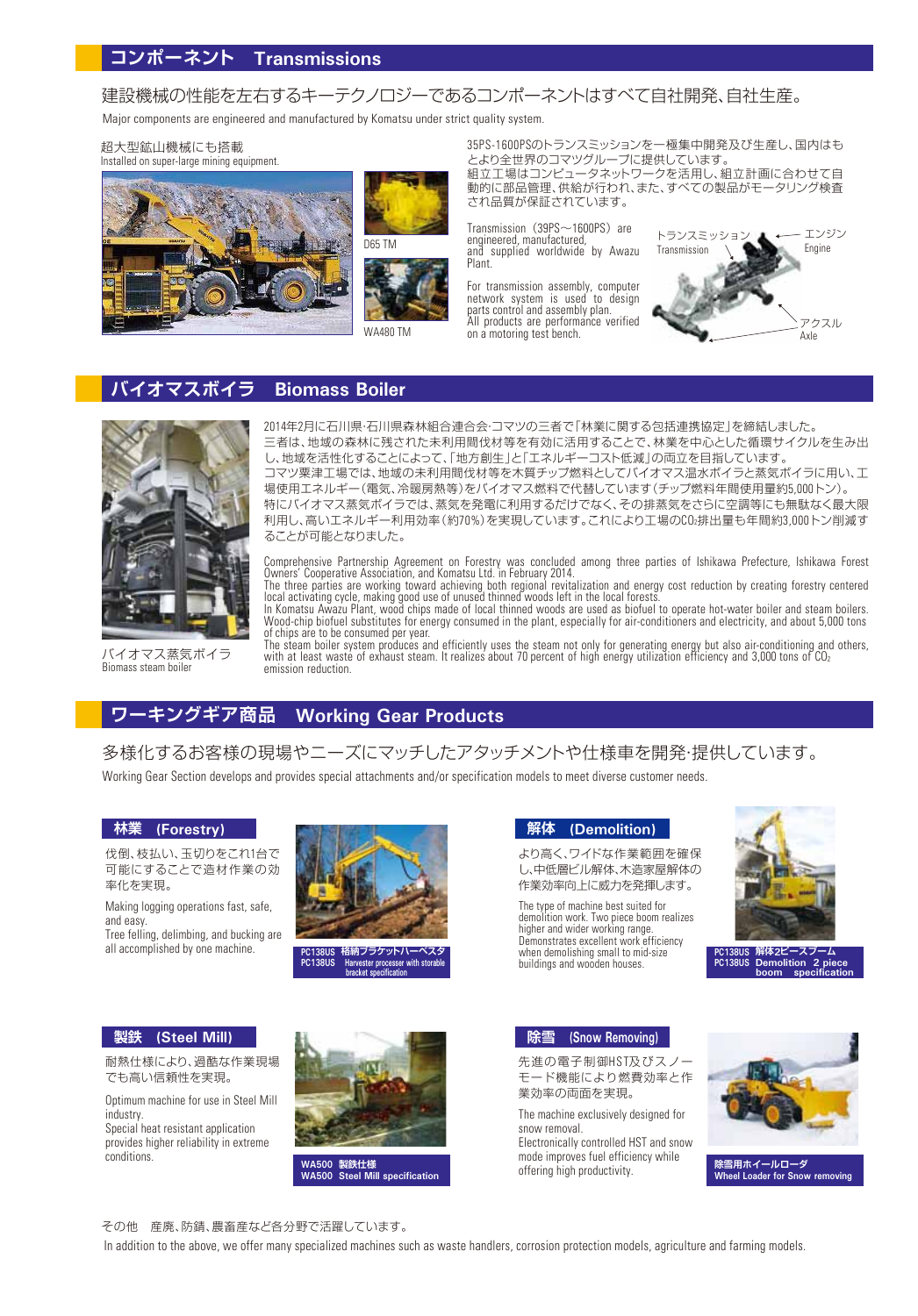# 建設機械の性能を左右するキーテクノロジーであるコンポーネントはすべて自社開発、自社生産。

Major components are engineered and manufactured by Komatsu under strict quality system.

超大型鉱山機械にも搭載 Installed on super-large mining equipment.







35PS-1600PSのトランスミッションを一極集中開発及び生産し、国内はも とより全世界のコマツグループに提供しています。 組立工場はコンピュータネットワークを活用し、組立計画に合わせて自

動的に部品管理、供給が行われ、また、すべての製品がモータリング検査 され品質が保証されています。

Transmission (39PS~1600PS) are engineered, manufactured, and supplied worldwide by Awazu Plant.

For transmission assembly, computer network system is used to design parts control and assembly plan. All products are performance verified



# **バイオマスボイラ Biomass Boiler**



バイオマス蒸気ボイラ Biomass steam boiler

2014年2月に石川県・石川県森林組合連合会・コマツの三者で「林業に関する包括連携協定」を締結しました。 三者は、地域の森林に残された未利用間伐材等を有効に活用することで、林業を中心とした循環サイクルを生み出 し、地域を活性化することによって、「地方創生」と「エネルギーコスト低減」の両立を目指しています。 コマツ粟津工場では、地域の未利用間伐材等を木質チップ燃料としてバイオマス温水ボイラと蒸気ボイラに用い、工 場使用エネルギー(電気、冷暖房熱等)をバイオマス燃料で代替しています(チップ燃料年間使用量約5,000トン)。 特にバイオマス蒸気ボイラでは、蒸気を発電に利用するだけでなく、その排蒸気をさらに空調等にも無駄なく最大限 利用し、高いエネルギー利用効率(約70%)を実現しています。これにより工場のCO2排出量も年間約3,000トン削減す ることが可能となりました。

Comprehensive Partnership Agreement on Forestry was concluded among three parties of Ishikawa Prefecture, Ishikawa Forest Owners' Cooperative Association, and Komatsu Ltd. in February 2014.

The three parties are working toward achieving both regional revitalization and energy cost reduction by creating forestry centered local activating cycle, making good use of unused thinned woods left in the local forests.<br>In Komatsu Awazu Plant, wood chips made of local thinned woods are used as biofuel to operate hot-water boiler and steam boilers.

Wood-chip biofuel substitutes for energy consumed in the plant, especially for air-conditioners and electricity, and about 5,000 tons

of chips are to be consumed per year.<br>The steam boiler system produces and efficiently uses the steam not only for generating energy but also air-conditioning and others,<br>with at least waste of exhaust steam. It realizes a emission reduction.

# **ワーキングギア商品 Working Gear Products**

多様化するお客様の現場やニーズにマッチしたアタッチメントや仕様車を開発・提供しています。

Working Gear Section develops and provides special attachments and/or specification models to meet diverse customer needs.

#### **林業 (Forestry)**

伐倒、枝払い、玉切りをこれ1台で 可能にすることで造材作業の効 率化を実現。

Making logging operations fast, safe, and easy.

Tree felling, delimbing, and bucking are all accomplished by one machine.



**PC138US 格納ブラケットハーベスタ PROTIVES THE PROCESSER With storable brack** 

### **解体 (Demolition)**

より高く、ワイドな作業範囲を確保 し、中低層ビル解体、木造家屋解体の 作業効率向上に威力を発揮します。

The type of machine best suited for demolition work. Two piece boom realizes higher and wider working range. Demonstrates excellent work efficiency when demolishing small to mid-size buildings and wooden houses.



**PC138US 解体2ピースブーム Demolition** 

#### **製鉄 (Steel Mill)**

耐熱仕様により、過酷な作業現場 でも高い信頼性を実現。

Optimum machine for use in Steel Mill industry.

Special heat resistant application provides higher reliability in extreme conditions.



**WA500 製鉄仕様 WA500 Steel Mill specification**

**除雪 (Snow Removing)**

先進の電子制御HST及びスノー モード機能により燃費効率と作 業効率の両面を実現。

The machine exclusively designed for snow removal. Electronically controlled HST and snow mode improves fuel efficiency while offering high productivity.



**雪用ホイールローダ Wheel Loader for Snow removing**

その他 産廃、防錆、農畜産など各分野で活躍しています。

In addition to the above, we offer many specialized machines such as waste handlers, corrosion protection models, agriculture and farming models.